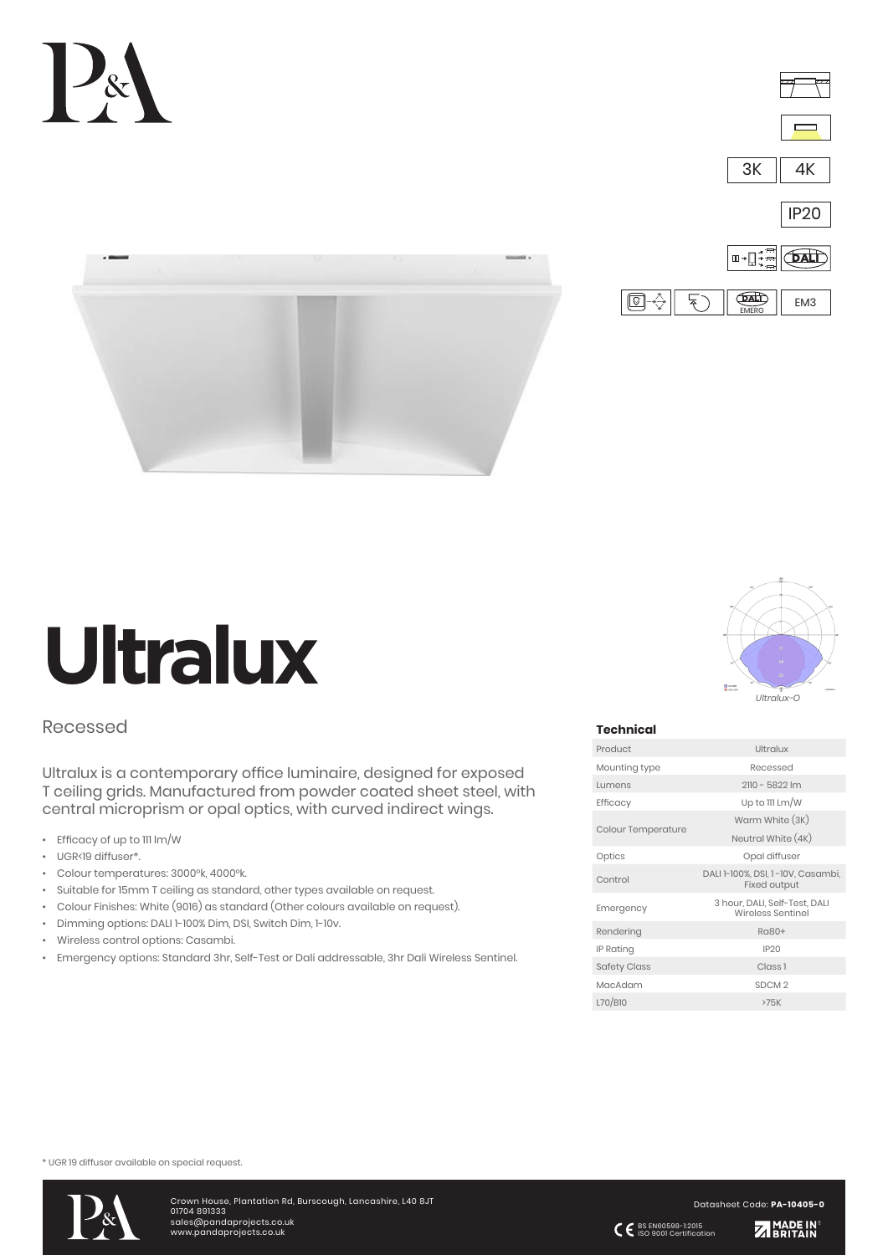



EMERG

 $\Box \leftrightarrow$ 





# Recessed

Ultralux is a contemporary office luminaire, designed for exposed T ceiling grids. Manufactured from powder coated sheet steel, with central microprism or opal optics, with curved indirect wings.

- Efficacy of up to 111 lm/W
- UGR<19 diffuser\*.
- Colour temperatures: 3000°k, 4000°k.
- Suitable for 15mm T ceiling as standard, other types available on request.
- Colour Finishes: White (9016) as standard (Other colours available on request).
- Dimming options: DALI 1-100% Dim, DSI, Switch Dim, 1-10v.
- Wireless control options: Casambi.
- Emergency options: Standard 3hr, Self-Test or Dali addressable, 3hr Dali Wireless Sentinel.



### **Technical**

| Product                   | Ultralux                                                 |  |  |  |
|---------------------------|----------------------------------------------------------|--|--|--|
| Mounting type             | Recessed                                                 |  |  |  |
| Lumens                    | 2110 - 5822 lm                                           |  |  |  |
| Efficacy                  | Up to 111 Lm/W                                           |  |  |  |
| <b>Colour Temperature</b> | Warm White (3K)                                          |  |  |  |
|                           | Neutral White (4K)                                       |  |  |  |
| Optics                    | Opal diffuser                                            |  |  |  |
| Control                   | DALI 1-100%, DSI, 1-10V, Casambi,<br><b>Fixed output</b> |  |  |  |
| Emergency                 | 3 hour, DALI, Self-Test, DALI<br>Wireless Sentinel       |  |  |  |
| Rendering                 | Ra80+                                                    |  |  |  |
| IP Rating                 | <b>IP20</b>                                              |  |  |  |
| <b>Safety Class</b>       | Class <sub>1</sub>                                       |  |  |  |
| MacAdam                   | SDCM <sub>2</sub>                                        |  |  |  |
| L70/B10                   | >75K                                                     |  |  |  |

\* UGR 19 diffuser available on special request.



Crown House, Plantation Rd, Burscough, Lancashire, L40 8JT 01704 891333 sales@pandaprojects.co.uk www.pandaprojects.co.uk

Datasheet Code: **PA-10405-0**

BS EN60598-1:2015 ISO 9001 Certification